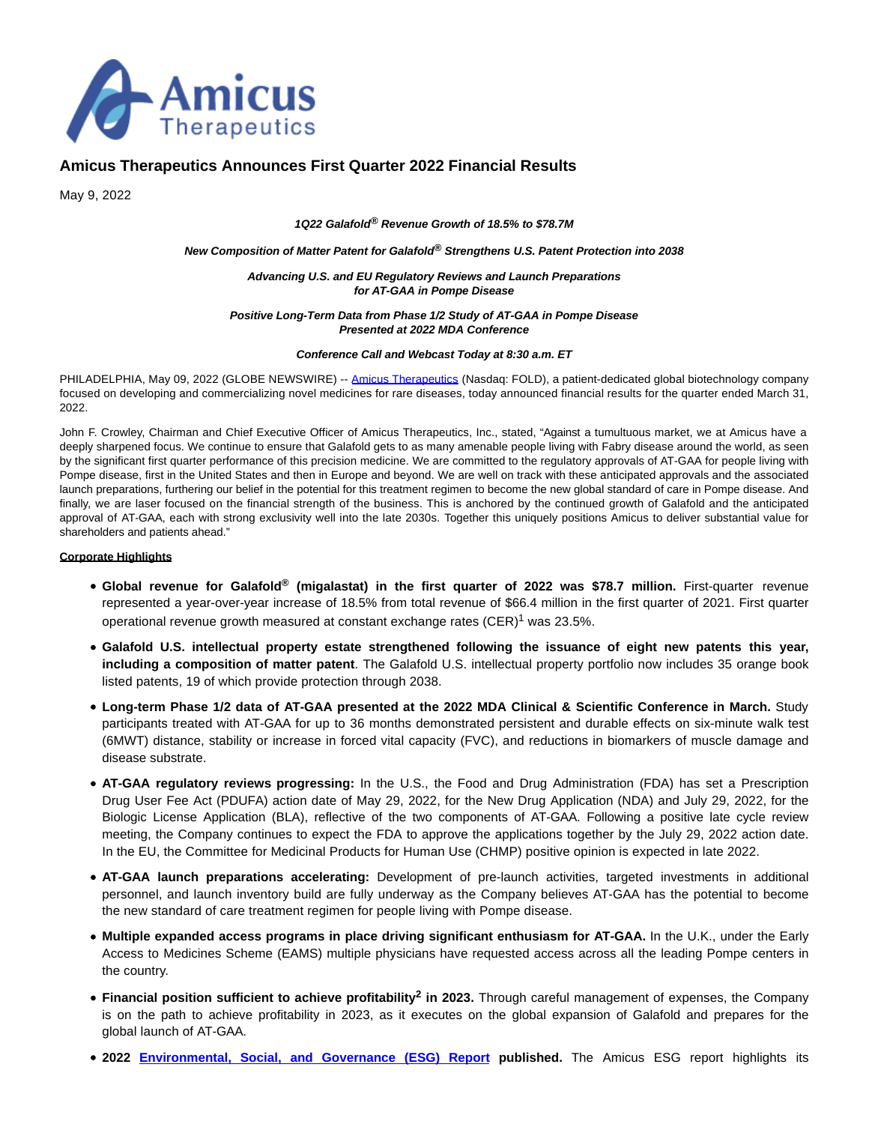

# **Amicus Therapeutics Announces First Quarter 2022 Financial Results**

May 9, 2022

**1Q22 Galafold® Revenue Growth of 18.5% to \$78.7M**

# **New Composition of Matter Patent for Galafold® Strengthens U.S. Patent Protection into 2038**

**Advancing U.S. and EU Regulatory Reviews and Launch Preparations for AT-GAA in Pompe Disease**

#### **Positive Long-Term Data from Phase 1/2 Study of AT-GAA in Pompe Disease Presented at 2022 MDA Conference**

#### **Conference Call and Webcast Today at 8:30 a.m. ET**

PHILADELPHIA, May 09, 2022 (GLOBE NEWSWIRE) -- [Amicus Therapeutics \(](https://www.globenewswire.com/Tracker?data=gZ8H0CTi-WyDDcQcmjDwg8NMKwXwJALZfvbLDSylnUbFZL7DPMdZ5sOeihEtiiMVUkcyblERm9sfzD91x5TFPE7VjSKNKZryG0SHcvEOa-U=)Nasdaq: FOLD), a patient-dedicated global biotechnology company focused on developing and commercializing novel medicines for rare diseases, today announced financial results for the quarter ended March 31, 2022.

John F. Crowley, Chairman and Chief Executive Officer of Amicus Therapeutics, Inc., stated, "Against a tumultuous market, we at Amicus have a deeply sharpened focus. We continue to ensure that Galafold gets to as many amenable people living with Fabry disease around the world, as seen by the significant first quarter performance of this precision medicine. We are committed to the regulatory approvals of AT-GAA for people living with Pompe disease, first in the United States and then in Europe and beyond. We are well on track with these anticipated approvals and the associated launch preparations, furthering our belief in the potential for this treatment regimen to become the new global standard of care in Pompe disease. And finally, we are laser focused on the financial strength of the business. This is anchored by the continued growth of Galafold and the anticipated approval of AT-GAA, each with strong exclusivity well into the late 2030s. Together this uniquely positions Amicus to deliver substantial value for shareholders and patients ahead."

#### **Corporate Highlights**

- **Global revenue for Galafold® (migalastat) in the first quarter of 2022 was \$78.7 million.** First-quarter revenue represented a year-over-year increase of 18.5% from total revenue of \$66.4 million in the first quarter of 2021. First quarter operational revenue growth measured at constant exchange rates (CER)<sup>1</sup> was 23.5%.
- **Galafold U.S. intellectual property estate strengthened following the issuance of eight new patents this year, including a composition of matter patent**. The Galafold U.S. intellectual property portfolio now includes 35 orange book listed patents, 19 of which provide protection through 2038.
- **Long-term Phase 1/2 data of AT-GAA presented at the 2022 MDA Clinical & Scientific Conference in March.** Study participants treated with AT-GAA for up to 36 months demonstrated persistent and durable effects on six-minute walk test (6MWT) distance, stability or increase in forced vital capacity (FVC), and reductions in biomarkers of muscle damage and disease substrate.
- **AT-GAA regulatory reviews progressing:** In the U.S., the Food and Drug Administration (FDA) has set a Prescription Drug User Fee Act (PDUFA) action date of May 29, 2022, for the New Drug Application (NDA) and July 29, 2022, for the Biologic License Application (BLA), reflective of the two components of AT-GAA. Following a positive late cycle review meeting, the Company continues to expect the FDA to approve the applications together by the July 29, 2022 action date. In the EU, the Committee for Medicinal Products for Human Use (CHMP) positive opinion is expected in late 2022.
- **AT-GAA launch preparations accelerating:** Development of pre-launch activities, targeted investments in additional personnel, and launch inventory build are fully underway as the Company believes AT-GAA has the potential to become the new standard of care treatment regimen for people living with Pompe disease.
- **Multiple expanded access programs in place driving significant enthusiasm for AT-GAA.** In the U.K., under the Early Access to Medicines Scheme (EAMS) multiple physicians have requested access across all the leading Pompe centers in the country.
- **Financial position sufficient to achieve profitability<sup>2</sup> in 2023.** Through careful management of expenses, the Company is on the path to achieve profitability in 2023, as it executes on the global expansion of Galafold and prepares for the global launch of AT-GAA.
- **2022 [Environmental, Social, and Governance \(ESG\) Report](https://www.amicusrx.com/app/uploads/2022/04/2022-Amicus-Therapeutics-ESG-Report-1.pdf) published.** The Amicus ESG report highlights its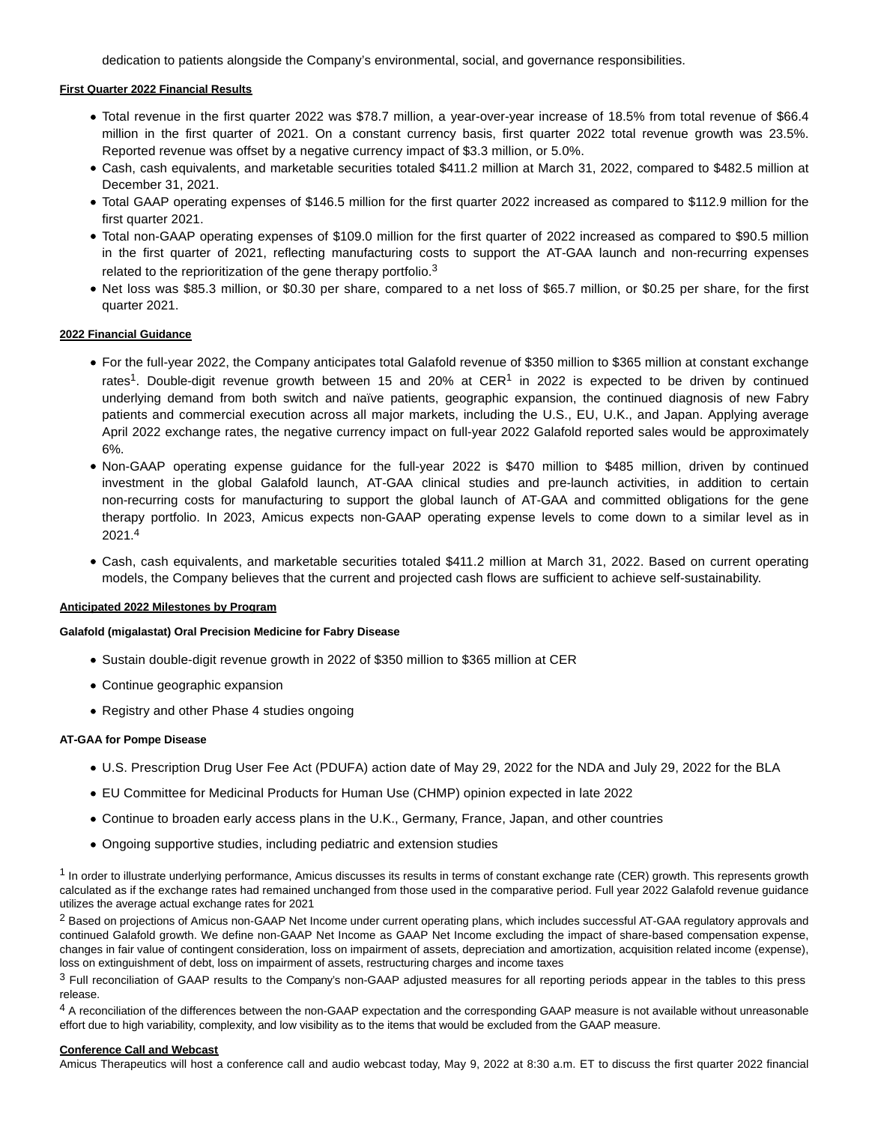dedication to patients alongside the Company's environmental, social, and governance responsibilities.

# **First Quarter 2022 Financial Results**

- Total revenue in the first quarter 2022 was \$78.7 million, a year-over-year increase of 18.5% from total revenue of \$66.4 million in the first quarter of 2021. On a constant currency basis, first quarter 2022 total revenue growth was 23.5%. Reported revenue was offset by a negative currency impact of \$3.3 million, or 5.0%.
- Cash, cash equivalents, and marketable securities totaled \$411.2 million at March 31, 2022, compared to \$482.5 million at December 31, 2021.
- Total GAAP operating expenses of \$146.5 million for the first quarter 2022 increased as compared to \$112.9 million for the first quarter 2021.
- Total non-GAAP operating expenses of \$109.0 million for the first quarter of 2022 increased as compared to \$90.5 million in the first quarter of 2021, reflecting manufacturing costs to support the AT-GAA launch and non-recurring expenses related to the reprioritization of the gene therapy portfolio.<sup>3</sup>
- Net loss was \$85.3 million, or \$0.30 per share, compared to a net loss of \$65.7 million, or \$0.25 per share, for the first quarter 2021.

# **2022 Financial Guidance**

- For the full-year 2022, the Company anticipates total Galafold revenue of \$350 million to \$365 million at constant exchange rates<sup>1</sup>. Double-digit revenue growth between 15 and 20% at CER<sup>1</sup> in 2022 is expected to be driven by continued underlying demand from both switch and naïve patients, geographic expansion, the continued diagnosis of new Fabry patients and commercial execution across all major markets, including the U.S., EU, U.K., and Japan. Applying average April 2022 exchange rates, the negative currency impact on full-year 2022 Galafold reported sales would be approximately 6%.
- Non-GAAP operating expense guidance for the full-year 2022 is \$470 million to \$485 million, driven by continued investment in the global Galafold launch, AT-GAA clinical studies and pre-launch activities, in addition to certain non-recurring costs for manufacturing to support the global launch of AT-GAA and committed obligations for the gene therapy portfolio. In 2023, Amicus expects non-GAAP operating expense levels to come down to a similar level as in 2021.<sup>4</sup>
- Cash, cash equivalents, and marketable securities totaled \$411.2 million at March 31, 2022. Based on current operating models, the Company believes that the current and projected cash flows are sufficient to achieve self-sustainability.

# **Anticipated 2022 Milestones by Program**

# **Galafold (migalastat) Oral Precision Medicine for Fabry Disease**

- Sustain double-digit revenue growth in 2022 of \$350 million to \$365 million at CER
- Continue geographic expansion
- Registry and other Phase 4 studies ongoing

# **AT-GAA for Pompe Disease**

- U.S. Prescription Drug User Fee Act (PDUFA) action date of May 29, 2022 for the NDA and July 29, 2022 for the BLA
- EU Committee for Medicinal Products for Human Use (CHMP) opinion expected in late 2022
- Continue to broaden early access plans in the U.K., Germany, France, Japan, and other countries
- Ongoing supportive studies, including pediatric and extension studies

 $1$  In order to illustrate underlying performance, Amicus discusses its results in terms of constant exchange rate (CER) growth. This represents growth calculated as if the exchange rates had remained unchanged from those used in the comparative period. Full year 2022 Galafold revenue guidance utilizes the average actual exchange rates for 2021

<sup>2</sup> Based on projections of Amicus non-GAAP Net Income under current operating plans, which includes successful AT-GAA regulatory approvals and continued Galafold growth. We define non-GAAP Net Income as GAAP Net Income excluding the impact of share-based compensation expense, changes in fair value of contingent consideration, loss on impairment of assets, depreciation and amortization, acquisition related income (expense), loss on extinguishment of debt, loss on impairment of assets, restructuring charges and income taxes

<sup>3</sup> Full reconciliation of GAAP results to the Company's non-GAAP adjusted measures for all reporting periods appear in the tables to this press release.

4 A reconciliation of the differences between the non-GAAP expectation and the corresponding GAAP measure is not available without unreasonable effort due to high variability, complexity, and low visibility as to the items that would be excluded from the GAAP measure.

#### **Conference Call and Webcast**

Amicus Therapeutics will host a conference call and audio webcast today, May 9, 2022 at 8:30 a.m. ET to discuss the first quarter 2022 financial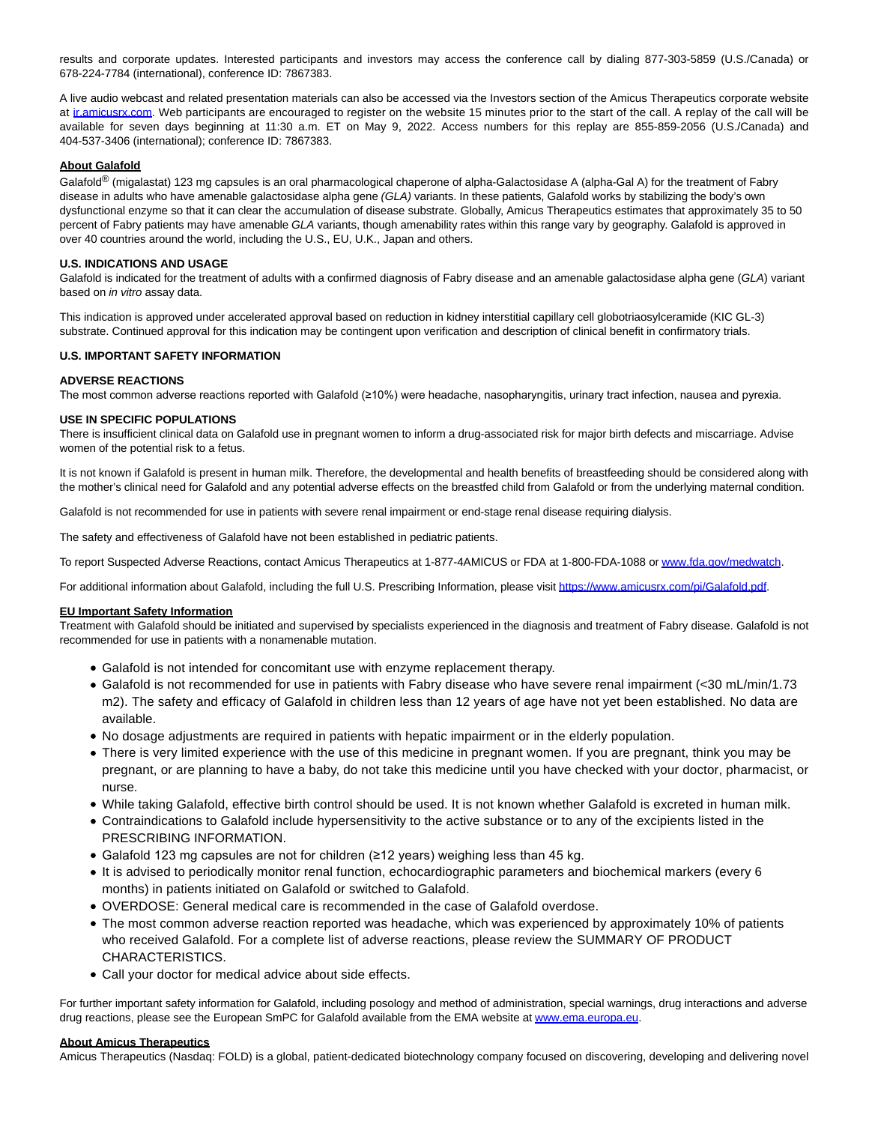results and corporate updates. Interested participants and investors may access the conference call by dialing 877-303-5859 (U.S./Canada) or 678-224-7784 (international), conference ID: 7867383.

A live audio webcast and related presentation materials can also be accessed via the Investors section of the Amicus Therapeutics corporate website at in amicusrx.com. Web participants are encouraged to register on the website 15 minutes prior to the start of the call. A replay of the call will be available for seven days beginning at 11:30 a.m. ET on May 9, 2022. Access numbers for this replay are 855-859-2056 (U.S./Canada) and 404-537-3406 (international); conference ID: 7867383.

# **About Galafold**

Galafold<sup>®</sup> (migalastat) 123 mg capsules is an oral pharmacological chaperone of alpha-Galactosidase A (alpha-Gal A) for the treatment of Fabry disease in adults who have amenable galactosidase alpha gene (GLA) variants. In these patients, Galafold works by stabilizing the body's own dysfunctional enzyme so that it can clear the accumulation of disease substrate. Globally, Amicus Therapeutics estimates that approximately 35 to 50 percent of Fabry patients may have amenable GLA variants, though amenability rates within this range vary by geography. Galafold is approved in over 40 countries around the world, including the U.S., EU, U.K., Japan and others.

# **U.S. INDICATIONS AND USAGE**

Galafold is indicated for the treatment of adults with a confirmed diagnosis of Fabry disease and an amenable galactosidase alpha gene (GLA) variant based on in vitro assay data.

This indication is approved under accelerated approval based on reduction in kidney interstitial capillary cell globotriaosylceramide (KIC GL-3) substrate. Continued approval for this indication may be contingent upon verification and description of clinical benefit in confirmatory trials.

#### **U.S. IMPORTANT SAFETY INFORMATION**

# **ADVERSE REACTIONS**

The most common adverse reactions reported with Galafold (≥10%) were headache, nasopharyngitis, urinary tract infection, nausea and pyrexia.

# **USE IN SPECIFIC POPULATIONS**

There is insufficient clinical data on Galafold use in pregnant women to inform a drug-associated risk for major birth defects and miscarriage. Advise women of the potential risk to a fetus.

It is not known if Galafold is present in human milk. Therefore, the developmental and health benefits of breastfeeding should be considered along with the mother's clinical need for Galafold and any potential adverse effects on the breastfed child from Galafold or from the underlying maternal condition.

Galafold is not recommended for use in patients with severe renal impairment or end-stage renal disease requiring dialysis.

The safety and effectiveness of Galafold have not been established in pediatric patients.

To report Suspected Adverse Reactions, contact Amicus Therapeutics at 1-877-4AMICUS or FDA at 1-800-FDA-1088 o[r www.fda.gov/medwatch.](https://www.globenewswire.com/Tracker?data=5jS8BecejoUGOEI0lZKhYZ97MEDr8O_qXgse5GJ7eGmlAMGMnT7Xv51ecphAOrtgAp_LJtuSaDCwWQfsMjdQOYWb0FL_JadtfSLjqWaU8x3OKp6ZZevTzpgCJuvY7Sr809g6uurCUDU8Qa3PlemZHT-WNfd4kDXEnmacdBCcRo32Shd64E4NTSnW0QjwMlpXoMG2aeh-Btah5Nn1kauhewh4TZej87hPoF-x6UWJz36HAdPl2ES1IlmL_K-sbeB9ylb74n1sN6ZwMnFa4GWS2A==)

For additional information about Galafold, including the full U.S. Prescribing Information, please visi[t https://www.amicusrx.com/pi/Galafold.pdf.](https://www.globenewswire.com/Tracker?data=rMI0XkajQ5_Bkw8FKiNjyw2PlVfTa7C-aYZ0_eJfqZAJmr1lQVQic7UcH4xCZVNdiwX5kA36dIDYgBlLYc1vGw7mX19Ntbiu_pIDDjKB8UnwLeFZw04fImwfs2a09USopCOnPIOxA_4zdTJKFXMzUG699k8i_Rna2D4h-7gssGjEUH45K2JmbPeGKZrGZGzZrsfdPAZ2gQAwGJ7a_8bDconolEmHI2pV1yWXf787S7RdNLGlujX4F_1BCXBE_ypOGLAbkskxkcOA8u-FIndtca-99pSZyktI0tZd1HnLhwWc3G3BOwXABzTfZZjKga6PB3kldVlpaQXF_jumbGNPCCVhIdLobAv-JnlwU6ezmKw=)

# **EU Important Safety Information**

Treatment with Galafold should be initiated and supervised by specialists experienced in the diagnosis and treatment of Fabry disease. Galafold is not recommended for use in patients with a nonamenable mutation.

- Galafold is not intended for concomitant use with enzyme replacement therapy.
- Galafold is not recommended for use in patients with Fabry disease who have severe renal impairment (<30 mL/min/1.73 m2). The safety and efficacy of Galafold in children less than 12 years of age have not yet been established. No data are available.
- No dosage adjustments are required in patients with hepatic impairment or in the elderly population.
- There is very limited experience with the use of this medicine in pregnant women. If you are pregnant, think you may be pregnant, or are planning to have a baby, do not take this medicine until you have checked with your doctor, pharmacist, or nurse.
- While taking Galafold, effective birth control should be used. It is not known whether Galafold is excreted in human milk.
- Contraindications to Galafold include hypersensitivity to the active substance or to any of the excipients listed in the PRESCRIBING INFORMATION.
- Galafold 123 mg capsules are not for children (≥12 years) weighing less than 45 kg.
- It is advised to periodically monitor renal function, echocardiographic parameters and biochemical markers (every 6 months) in patients initiated on Galafold or switched to Galafold.
- OVERDOSE: General medical care is recommended in the case of Galafold overdose.
- The most common adverse reaction reported was headache, which was experienced by approximately 10% of patients who received Galafold. For a complete list of adverse reactions, please review the SUMMARY OF PRODUCT CHARACTERISTICS.
- Call your doctor for medical advice about side effects.

For further important safety information for Galafold, including posology and method of administration, special warnings, drug interactions and adverse drug reactions, please see the European SmPC for Galafold available from the EMA website a[t www.ema.europa.eu.](https://www.globenewswire.com/Tracker?data=H3O0aCsVU0B2M9TpKsoC0GVNmdH0edV-oTqp9FNitKXFYSo4qgSh2ggq9OwzPYcK19gU8nq8KtLitsKuByXg8SrzGLAP5j7HdvJn8HSWT30XhKyorojYt8woWNhiMpejmyVRLP6vlnnGx0JzHrckh0HlmPBMSdJfblxhBim96mt0f_7w-GgaE2mKf-K9_JMRGJ4T0YDbW1vpXT64xTf9yjKD2CnsRdKys4IzC-2_ZfxUdlwA2l4x4cIlOvF_CgBZ8owqZx5T8tpZYJ_xf_JsIXwsJKlJ8BJgxnxJsBHoH3Yg0MFU1sTtsdNzw8_eD7lnsU5L9fYO6P2oZ8airJyZSQ==)

# **About Amicus Therapeutics**

Amicus Therapeutics (Nasdaq: FOLD) is a global, patient-dedicated biotechnology company focused on discovering, developing and delivering novel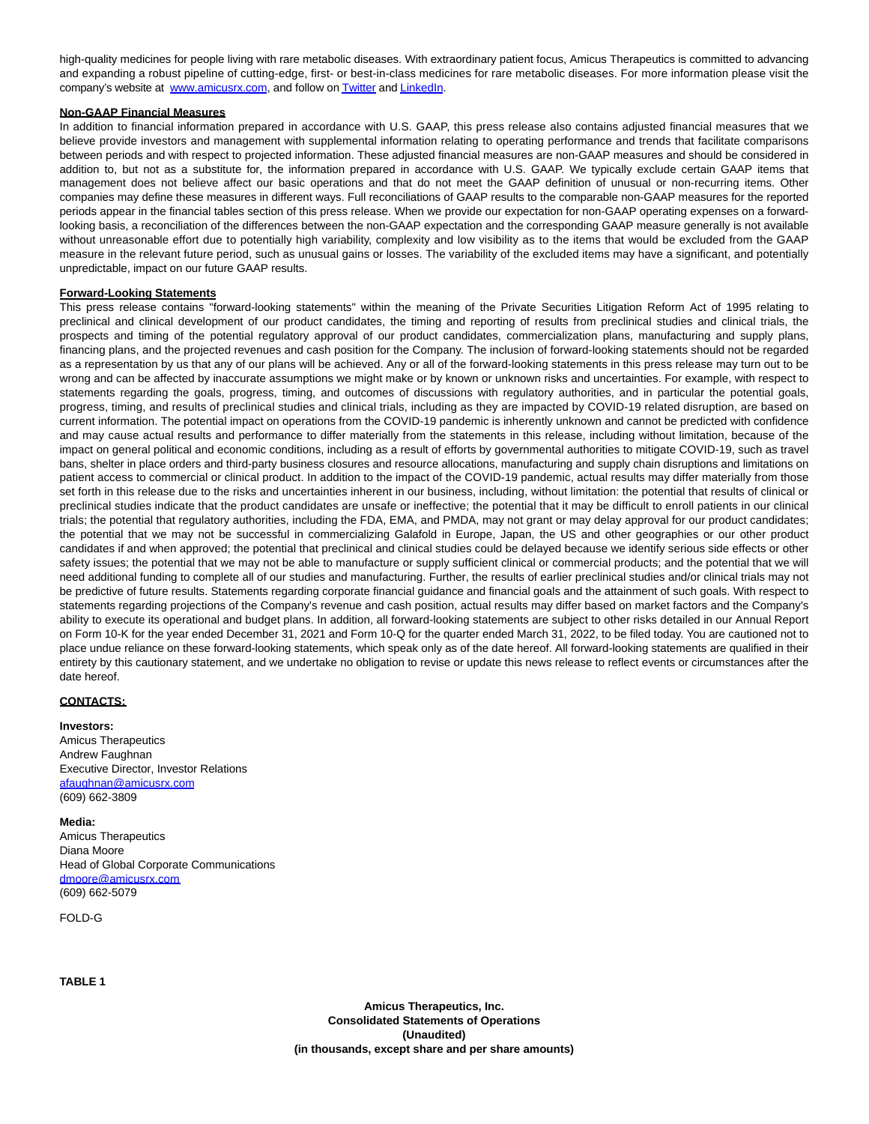high-quality medicines for people living with rare metabolic diseases. With extraordinary patient focus, Amicus Therapeutics is committed to advancing and expanding a robust pipeline of cutting-edge, first- or best-in-class medicines for rare metabolic diseases. For more information please visit the company's website at [www.amicusrx.com,](https://www.globenewswire.com/Tracker?data=nA0oybOd58sjPPYlxwEPPHgHrZTfPAlm26kdVkewkU6w59RMIDOxGvKnTK9sCNDl0T_Iy8AFg_R5ZeQbmBnnTQ==) and follow o[n Twitter a](https://www.globenewswire.com/Tracker?data=L2ZadJwxE4xWP7yyZDmEMyr_ApbiyBfqBopNcrP3veK43PfPrYjsb2DhVPH__zdcvSf_fhjpjeT0u1ja0OH0ww==)n[d LinkedIn.](https://www.globenewswire.com/Tracker?data=F3kNRcFMuLiiFYQx2X-OlBNf9YOtAqlZ7ZO_Pw2_qUVkdnEmpkDZ8Gp8IGJ3iBtooR529T9DvWzPMrU5Zbb7xX0LEtajdbb34yUSIl0HvLJdqEbTfEHxiAS_3VQGI6VG)

#### **Non-GAAP Financial Measures**

In addition to financial information prepared in accordance with U.S. GAAP, this press release also contains adjusted financial measures that we believe provide investors and management with supplemental information relating to operating performance and trends that facilitate comparisons between periods and with respect to projected information. These adjusted financial measures are non-GAAP measures and should be considered in addition to, but not as a substitute for, the information prepared in accordance with U.S. GAAP. We typically exclude certain GAAP items that management does not believe affect our basic operations and that do not meet the GAAP definition of unusual or non-recurring items. Other companies may define these measures in different ways. Full reconciliations of GAAP results to the comparable non-GAAP measures for the reported periods appear in the financial tables section of this press release. When we provide our expectation for non-GAAP operating expenses on a forwardlooking basis, a reconciliation of the differences between the non-GAAP expectation and the corresponding GAAP measure generally is not available without unreasonable effort due to potentially high variability, complexity and low visibility as to the items that would be excluded from the GAAP measure in the relevant future period, such as unusual gains or losses. The variability of the excluded items may have a significant, and potentially unpredictable, impact on our future GAAP results.

#### **Forward-Looking Statements**

This press release contains "forward-looking statements" within the meaning of the Private Securities Litigation Reform Act of 1995 relating to preclinical and clinical development of our product candidates, the timing and reporting of results from preclinical studies and clinical trials, the prospects and timing of the potential regulatory approval of our product candidates, commercialization plans, manufacturing and supply plans, financing plans, and the projected revenues and cash position for the Company. The inclusion of forward-looking statements should not be regarded as a representation by us that any of our plans will be achieved. Any or all of the forward-looking statements in this press release may turn out to be wrong and can be affected by inaccurate assumptions we might make or by known or unknown risks and uncertainties. For example, with respect to statements regarding the goals, progress, timing, and outcomes of discussions with regulatory authorities, and in particular the potential goals, progress, timing, and results of preclinical studies and clinical trials, including as they are impacted by COVID-19 related disruption, are based on current information. The potential impact on operations from the COVID-19 pandemic is inherently unknown and cannot be predicted with confidence and may cause actual results and performance to differ materially from the statements in this release, including without limitation, because of the impact on general political and economic conditions, including as a result of efforts by governmental authorities to mitigate COVID-19, such as travel bans, shelter in place orders and third-party business closures and resource allocations, manufacturing and supply chain disruptions and limitations on patient access to commercial or clinical product. In addition to the impact of the COVID-19 pandemic, actual results may differ materially from those set forth in this release due to the risks and uncertainties inherent in our business, including, without limitation: the potential that results of clinical or preclinical studies indicate that the product candidates are unsafe or ineffective; the potential that it may be difficult to enroll patients in our clinical trials; the potential that regulatory authorities, including the FDA, EMA, and PMDA, may not grant or may delay approval for our product candidates; the potential that we may not be successful in commercializing Galafold in Europe, Japan, the US and other geographies or our other product candidates if and when approved; the potential that preclinical and clinical studies could be delayed because we identify serious side effects or other safety issues; the potential that we may not be able to manufacture or supply sufficient clinical or commercial products; and the potential that we will need additional funding to complete all of our studies and manufacturing. Further, the results of earlier preclinical studies and/or clinical trials may not be predictive of future results. Statements regarding corporate financial guidance and financial goals and the attainment of such goals. With respect to statements regarding projections of the Company's revenue and cash position, actual results may differ based on market factors and the Company's ability to execute its operational and budget plans. In addition, all forward-looking statements are subject to other risks detailed in our Annual Report on Form 10-K for the year ended December 31, 2021 and Form 10-Q for the quarter ended March 31, 2022, to be filed today. You are cautioned not to place undue reliance on these forward-looking statements, which speak only as of the date hereof. All forward-looking statements are qualified in their entirety by this cautionary statement, and we undertake no obligation to revise or update this news release to reflect events or circumstances after the date hereof.

### **CONTACTS:**

#### **Investors:**

Amicus Therapeutics Andrew Faughnan Executive Director, Investor Relations [afaughnan@amicusrx.com](https://www.globenewswire.com/Tracker?data=MHQ0qT76qS5zJ7sbfNAEtCHw_Rmp-5kXDFQ843mwrrCpjoF41K6foJ4Ov__jIwl5BePxbfkw7jHXp_weLkpmGhTBbzW-ZY47-2QqRYpFT3g=) (609) 662-3809

**Media:** Amicus Therapeutics Diana Moore Head of Global Corporate Communications [dmoore@amicusrx.com](https://www.globenewswire.com/Tracker?data=x6hP23ZG4fHAmvDY_v0sYu5eACLMAjqqV8aHFQJvqJRtE0FKoZQ4zP8lSg5DhIWaYpCmnR_qHKa1k5RYz1DsNmPSnYPrd8Q1PzsMu5G-GRI=) (609) 662-5079

FOLD-G

**TABLE 1**

**Amicus Therapeutics, Inc. Consolidated Statements of Operations (Unaudited) (in thousands, except share and per share amounts)**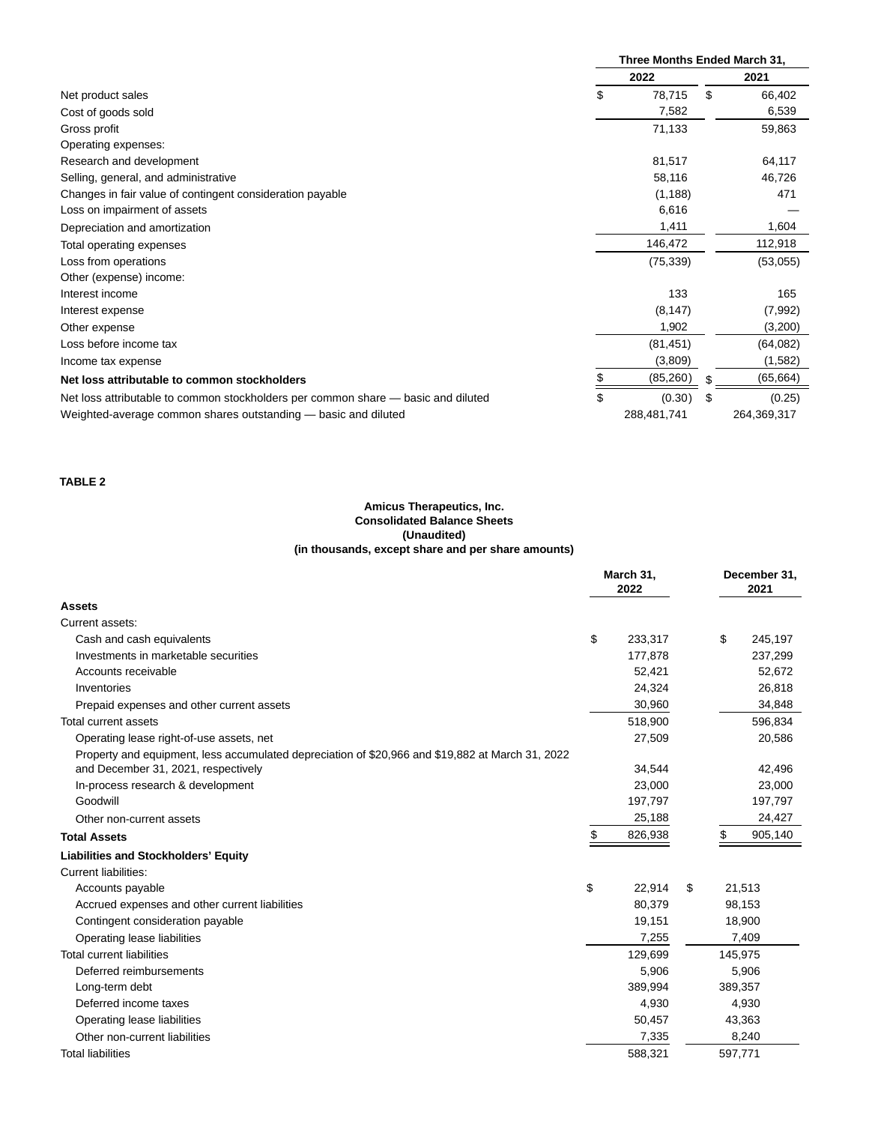|                                                                                   | Three Months Ended March 31, |             |      |             |
|-----------------------------------------------------------------------------------|------------------------------|-------------|------|-------------|
|                                                                                   | 2022                         |             | 2021 |             |
| Net product sales                                                                 | \$                           | 78,715      | \$   | 66,402      |
| Cost of goods sold                                                                |                              | 7,582       |      | 6,539       |
| Gross profit                                                                      |                              | 71,133      |      | 59,863      |
| Operating expenses:                                                               |                              |             |      |             |
| Research and development                                                          |                              | 81,517      |      | 64,117      |
| Selling, general, and administrative                                              |                              | 58,116      |      | 46,726      |
| Changes in fair value of contingent consideration payable                         |                              | (1, 188)    |      | 471         |
| Loss on impairment of assets                                                      |                              | 6,616       |      |             |
| Depreciation and amortization                                                     |                              | 1,411       |      | 1,604       |
| Total operating expenses                                                          |                              | 146,472     |      | 112,918     |
| Loss from operations                                                              |                              | (75, 339)   |      | (53,055)    |
| Other (expense) income:                                                           |                              |             |      |             |
| Interest income                                                                   |                              | 133         |      | 165         |
| Interest expense                                                                  |                              | (8, 147)    |      | (7,992)     |
| Other expense                                                                     |                              | 1,902       |      | (3,200)     |
| Loss before income tax                                                            |                              | (81, 451)   |      | (64,082)    |
| Income tax expense                                                                |                              | (3,809)     |      | (1,582)     |
| Net loss attributable to common stockholders                                      | \$                           | (85, 260)   |      | (65, 664)   |
| Net loss attributable to common stockholders per common share — basic and diluted | \$                           | (0.30)      | \$   | (0.25)      |
| Weighted-average common shares outstanding — basic and diluted                    |                              | 288,481,741 |      | 264,369,317 |

**TABLE 2**

#### **Amicus Therapeutics, Inc. Consolidated Balance Sheets (Unaudited) (in thousands, except share and per share amounts)**

|                                                                                                                                         | March 31,<br>2022  |         |       | December 31,<br>2021 |         |
|-----------------------------------------------------------------------------------------------------------------------------------------|--------------------|---------|-------|----------------------|---------|
| <b>Assets</b>                                                                                                                           |                    |         |       |                      |         |
| Current assets:                                                                                                                         |                    |         |       |                      |         |
| Cash and cash equivalents                                                                                                               | \$                 | 233,317 |       | \$                   | 245,197 |
| Investments in marketable securities                                                                                                    |                    | 177,878 |       |                      | 237,299 |
| Accounts receivable                                                                                                                     |                    | 52,421  |       |                      | 52,672  |
| Inventories                                                                                                                             |                    | 24,324  |       |                      | 26,818  |
| Prepaid expenses and other current assets                                                                                               |                    | 30,960  |       |                      | 34,848  |
| Total current assets                                                                                                                    |                    | 518,900 |       |                      | 596,834 |
| Operating lease right-of-use assets, net                                                                                                |                    | 27,509  |       |                      | 20,586  |
| Property and equipment, less accumulated depreciation of \$20,966 and \$19,882 at March 31, 2022<br>and December 31, 2021, respectively |                    | 34,544  |       |                      | 42,496  |
| In-process research & development                                                                                                       |                    | 23,000  |       |                      | 23,000  |
| Goodwill                                                                                                                                |                    | 197,797 |       |                      | 197,797 |
| Other non-current assets                                                                                                                |                    | 25,188  |       |                      | 24,427  |
| <b>Total Assets</b>                                                                                                                     | S                  | 826,938 |       | \$                   | 905,140 |
| <b>Liabilities and Stockholders' Equity</b>                                                                                             |                    |         |       |                      |         |
| <b>Current liabilities:</b>                                                                                                             |                    |         |       |                      |         |
| Accounts payable                                                                                                                        | \$                 | 22,914  | \$    |                      | 21,513  |
| Accrued expenses and other current liabilities                                                                                          |                    | 80,379  |       |                      | 98,153  |
| Contingent consideration payable                                                                                                        |                    | 19,151  |       |                      | 18,900  |
| Operating lease liabilities                                                                                                             |                    | 7,255   |       |                      | 7,409   |
| <b>Total current liabilities</b>                                                                                                        |                    | 129,699 |       | 145,975              |         |
| Deferred reimbursements                                                                                                                 | 5,906              |         | 5,906 |                      |         |
| Long-term debt                                                                                                                          | 389,994<br>389,357 |         |       |                      |         |
| Deferred income taxes                                                                                                                   |                    | 4,930   | 4,930 |                      |         |
| Operating lease liabilities                                                                                                             | 50,457<br>43,363   |         |       |                      |         |
| Other non-current liabilities                                                                                                           |                    | 7,335   |       |                      | 8,240   |
| <b>Total liabilities</b>                                                                                                                |                    | 588,321 |       |                      | 597,771 |